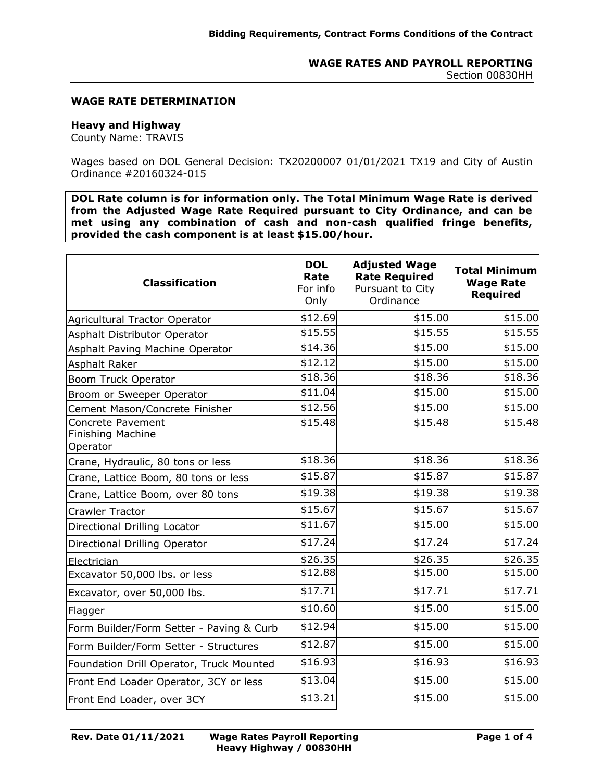#### **WAGE RATE DETERMINATION**

# **Heavy and Highway**

County Name: TRAVIS

Wages based on DOL General Decision: TX20200007 01/01/2021 TX19 and City of Austin Ordinance #20160324-015

**DOL Rate column is for information only. The Total Minimum Wage Rate is derived from the Adjusted Wage Rate Required pursuant to City Ordinance, and can be met using any combination of cash and non-cash qualified fringe benefits, provided the cash component is at least \$15.00/hour.**

| <b>Classification</b>                              | <b>DOL</b><br>Rate<br>For info<br>Only | <b>Adjusted Wage</b><br><b>Rate Required</b><br>Pursuant to City<br>Ordinance | <b>Total Minimum</b><br><b>Wage Rate</b><br><b>Required</b> |
|----------------------------------------------------|----------------------------------------|-------------------------------------------------------------------------------|-------------------------------------------------------------|
| Agricultural Tractor Operator                      | \$12.69                                | \$15.00                                                                       | \$15.00                                                     |
| Asphalt Distributor Operator                       | \$15.55                                | \$15.55                                                                       | \$15.55                                                     |
| Asphalt Paving Machine Operator                    | \$14.36                                | \$15.00                                                                       | \$15.00                                                     |
| Asphalt Raker                                      | \$12.12                                | \$15.00                                                                       | \$15.00                                                     |
| Boom Truck Operator                                | \$18.36                                | \$18.36                                                                       | \$18.36                                                     |
| Broom or Sweeper Operator                          | \$11.04                                | \$15.00                                                                       | \$15.00                                                     |
| Cement Mason/Concrete Finisher                     | \$12.56                                | \$15.00                                                                       | \$15.00                                                     |
| Concrete Pavement<br>Finishing Machine<br>Operator | \$15.48                                | \$15.48                                                                       | \$15.48                                                     |
| Crane, Hydraulic, 80 tons or less                  | \$18.36                                | \$18.36                                                                       | \$18.36                                                     |
| Crane, Lattice Boom, 80 tons or less               | \$15.87                                | \$15.87                                                                       | \$15.87                                                     |
| Crane, Lattice Boom, over 80 tons                  | \$19.38                                | \$19.38                                                                       | \$19.38                                                     |
| Crawler Tractor                                    | \$15.67                                | \$15.67                                                                       | \$15.67                                                     |
| Directional Drilling Locator                       | \$11.67                                | \$15.00                                                                       | \$15.00                                                     |
| Directional Drilling Operator                      | \$17.24                                | \$17.24                                                                       | \$17.24                                                     |
| Electrician                                        | \$26.35                                | \$26.35                                                                       | \$26.35                                                     |
| Excavator 50,000 lbs. or less                      | \$12.88                                | \$15.00                                                                       | \$15.00                                                     |
| Excavator, over 50,000 lbs.                        | \$17.71                                | \$17.71                                                                       | \$17.71                                                     |
| Flagger                                            | \$10.60                                | \$15.00                                                                       | \$15.00                                                     |
| Form Builder/Form Setter - Paving & Curb           | \$12.94                                | \$15.00                                                                       | \$15.00                                                     |
| Form Builder/Form Setter - Structures              | \$12.87                                | \$15.00                                                                       | \$15.00                                                     |
| Foundation Drill Operator, Truck Mounted           | \$16.93                                | \$16.93                                                                       | \$16.93                                                     |
| Front End Loader Operator, 3CY or less             | \$13.04                                | \$15.00                                                                       | \$15.00                                                     |
| Front End Loader, over 3CY                         | \$13.21                                | \$15.00                                                                       | \$15.00                                                     |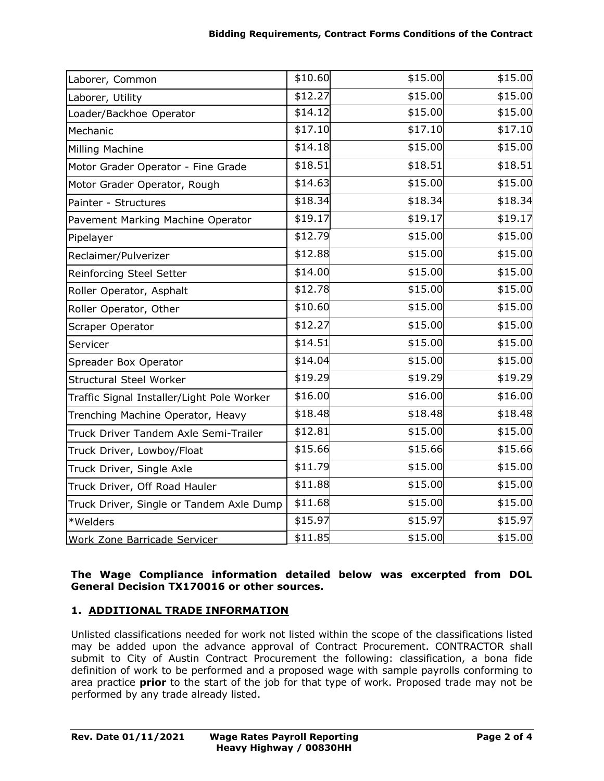| Laborer, Common                            | \$10.60 | \$15.00 | \$15.00 |
|--------------------------------------------|---------|---------|---------|
| Laborer, Utility                           | \$12.27 | \$15.00 | \$15.00 |
| Loader/Backhoe Operator                    | \$14.12 | \$15.00 | \$15.00 |
| Mechanic                                   | \$17.10 | \$17.10 | \$17.10 |
| Milling Machine                            | \$14.18 | \$15.00 | \$15.00 |
| Motor Grader Operator - Fine Grade         | \$18.51 | \$18.51 | \$18.51 |
| Motor Grader Operator, Rough               | \$14.63 | \$15.00 | \$15.00 |
| Painter - Structures                       | \$18.34 | \$18.34 | \$18.34 |
| Pavement Marking Machine Operator          | \$19.17 | \$19.17 | \$19.17 |
| Pipelayer                                  | \$12.79 | \$15.00 | \$15.00 |
| Reclaimer/Pulverizer                       | \$12.88 | \$15.00 | \$15.00 |
| Reinforcing Steel Setter                   | \$14.00 | \$15.00 | \$15.00 |
| Roller Operator, Asphalt                   | \$12.78 | \$15.00 | \$15.00 |
| Roller Operator, Other                     | \$10.60 | \$15.00 | \$15.00 |
| Scraper Operator                           | \$12.27 | \$15.00 | \$15.00 |
| Servicer                                   | \$14.51 | \$15.00 | \$15.00 |
| Spreader Box Operator                      | \$14.04 | \$15.00 | \$15.00 |
| <b>Structural Steel Worker</b>             | \$19.29 | \$19.29 | \$19.29 |
| Traffic Signal Installer/Light Pole Worker | \$16.00 | \$16.00 | \$16.00 |
| Trenching Machine Operator, Heavy          | \$18.48 | \$18.48 | \$18.48 |
| Truck Driver Tandem Axle Semi-Trailer      | \$12.81 | \$15.00 | \$15.00 |
| Truck Driver, Lowboy/Float                 | \$15.66 | \$15.66 | \$15.66 |
| Truck Driver, Single Axle                  | \$11.79 | \$15.00 | \$15.00 |
| Truck Driver, Off Road Hauler              | \$11.88 | \$15.00 | \$15.00 |
| Truck Driver, Single or Tandem Axle Dump   | \$11.68 | \$15.00 | \$15.00 |
| *Welders                                   | \$15.97 | \$15.97 | \$15.97 |
| Work Zone Barricade Servicer               | \$11.85 | \$15.00 | \$15.00 |

## **The Wage Compliance information detailed below was excerpted from DOL General Decision TX170016 or other sources.**

# **1. ADDITIONAL TRADE INFORMATION**

Unlisted classifications needed for work not listed within the scope of the classifications listed may be added upon the advance approval of Contract Procurement. CONTRACTOR shall submit to City of Austin Contract Procurement the following: classification, a bona fide definition of work to be performed and a proposed wage with sample payrolls conforming to area practice **prior** to the start of the job for that type of work. Proposed trade may not be performed by any trade already listed.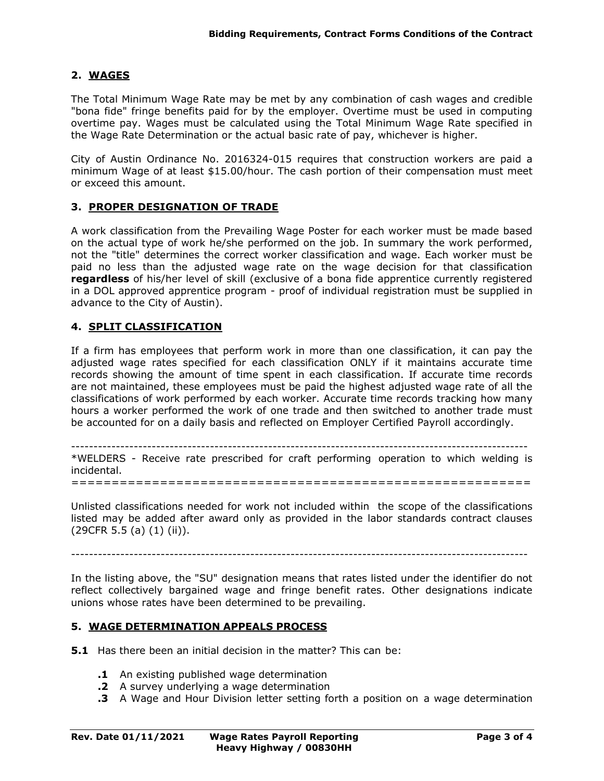### **2. WAGES**

The Total Minimum Wage Rate may be met by any combination of cash wages and credible "bona fide" fringe benefits paid for by the employer. Overtime must be used in computing overtime pay. Wages must be calculated using the Total Minimum Wage Rate specified in the Wage Rate Determination or the actual basic rate of pay, whichever is higher.

City of Austin Ordinance No. 2016324-015 requires that construction workers are paid a minimum Wage of at least \$15.00/hour. The cash portion of their compensation must meet or exceed this amount.

### **3. PROPER DESIGNATION OF TRADE**

A work classification from the Prevailing Wage Poster for each worker must be made based on the actual type of work he/she performed on the job. In summary the work performed, not the "title" determines the correct worker classification and wage. Each worker must be paid no less than the adjusted wage rate on the wage decision for that classification **regardless** of his/her level of skill (exclusive of a bona fide apprentice currently registered in a DOL approved apprentice program - proof of individual registration must be supplied in advance to the City of Austin).

### **4. SPLIT CLASSIFICATION**

If a firm has employees that perform work in more than one classification, it can pay the adjusted wage rates specified for each classification ONLY if it maintains accurate time records showing the amount of time spent in each classification. If accurate time records are not maintained, these employees must be paid the highest adjusted wage rate of all the classifications of work performed by each worker. Accurate time records tracking how many hours a worker performed the work of one trade and then switched to another trade must be accounted for on a daily basis and reflected on Employer Certified Payroll accordingly.

------------------------------------------------------------------------------------------------------

\*WELDERS - Receive rate prescribed for craft performing operation to which welding is incidental. =========================================================

Unlisted classifications needed for work not included within the scope of the classifications listed may be added after award only as provided in the labor standards contract clauses (29CFR 5.5 (a) (1) (ii)).

In the listing above, the "SU" designation means that rates listed under the identifier do not reflect collectively bargained wage and fringe benefit rates. Other designations indicate unions whose rates have been determined to be prevailing.

#### **5. WAGE DETERMINATION APPEALS PROCESS**

- **5.1** Has there been an initial decision in the matter? This can be:
	- **.1** An existing published wage determination
	- **.2** A survey underlying a wage determination
	- **.3** A Wage and Hour Division letter setting forth a position on a wage determination